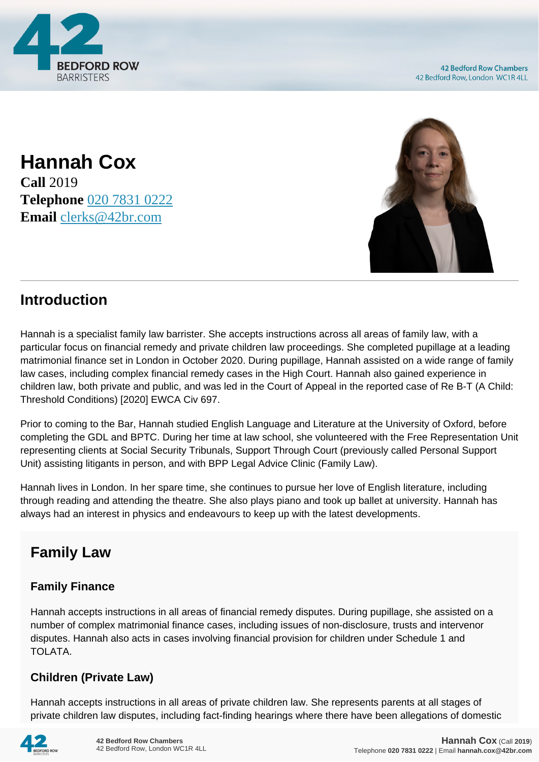

**42 Bedford Row Chambers** 42 Bedford Row, London WC1R 4LL

**Hannah Cox Call** 2019 **Telephone** [020 7831 0222](https://pdf.codeshore.co/_42br/tel:020 7831 0222) **Email** [clerks@42br.com](mailto:clerks@42br.com)



## **Introduction**

Hannah is a specialist family law barrister. She accepts instructions across all areas of family law, with a particular focus on financial remedy and private children law proceedings. She completed pupillage at a leading matrimonial finance set in London in October 2020. During pupillage, Hannah assisted on a wide range of family law cases, including complex financial remedy cases in the High Court. Hannah also gained experience in children law, both private and public, and was led in the Court of Appeal in the reported case of Re B-T (A Child: Threshold Conditions) [2020] EWCA Civ 697.

Prior to coming to the Bar, Hannah studied English Language and Literature at the University of Oxford, before completing the GDL and BPTC. During her time at law school, she volunteered with the Free Representation Unit representing clients at Social Security Tribunals, Support Through Court (previously called Personal Support Unit) assisting litigants in person, and with BPP Legal Advice Clinic (Family Law).

Hannah lives in London. In her spare time, she continues to pursue her love of English literature, including through reading and attending the theatre. She also plays piano and took up ballet at university. Hannah has always had an interest in physics and endeavours to keep up with the latest developments.

# **Family Law**

## **Family Finance**

Hannah accepts instructions in all areas of financial remedy disputes. During pupillage, she assisted on a number of complex matrimonial finance cases, including issues of non-disclosure, trusts and intervenor disputes. Hannah also acts in cases involving financial provision for children under Schedule 1 and TOLATA.

## **Children (Private Law)**

Hannah accepts instructions in all areas of private children law. She represents parents at all stages of private children law disputes, including fact-finding hearings where there have been allegations of domestic